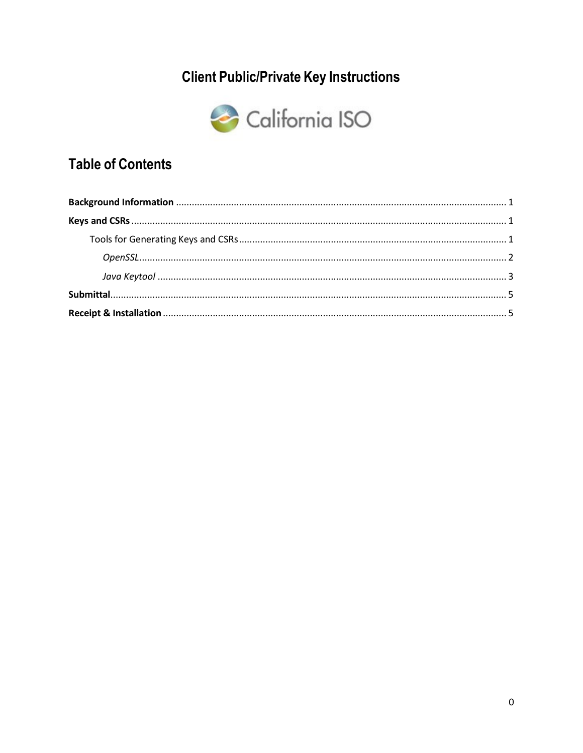# **Client Public/Private Key Instructions**



## **Table of Contents**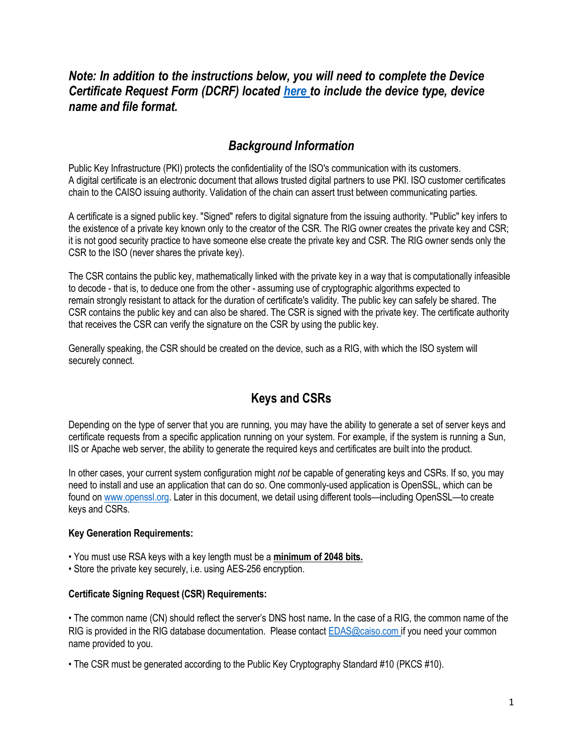## Note: In addition to the instructions below, you will need to complete the Device Certificate Request Form (DCRF) located here to include the device type, device name and file format.

## Background Information

Public Key Infrastructure (PKI) protects the confidentiality of the ISO's communication with its customers. A digital certificate is an electronic document that allows trusted digital partners to use PKI. ISO customer certificates chain to the CAISO issuing authority. Validation of the chain can assert trust between communicating parties.

A certificate is a signed public key. "Signed" refers to digital signature from the issuing authority. "Public" key infers to the existence of a private key known only to the creator of the CSR. The RIG owner creates the private key and CSR; it is not good security practice to have someone else create the private key and CSR. The RIG owner sends only the CSR to the ISO (never shares the private key).

The CSR contains the public key, mathematically linked with the private key in a way that is computationally infeasible to decode - that is, to deduce one from the other - assuming use of cryptographic algorithms expected to remain strongly resistant to attack for the duration of certificate's validity. The public key can safely be shared. The CSR contains the public key and can also be shared. The CSR is signed with the private key. The certificate authority that receives the CSR can verify the signature on the CSR by using the public key.

Generally speaking, the CSR should be created on the device, such as a RIG, with which the ISO system will securely connect.

## Keys and CSRs

Depending on the type of server that you are running, you may have the ability to generate a set of server keys and certificate requests from a specific application running on your system. For example, if the system is running a Sun, IIS or Apache web server, the ability to generate the required keys and certificates are built into the product.

In other cases, your current system configuration might not be capable of generating keys and CSRs. If so, you may need to install and use an application that can do so. One commonly-used application is OpenSSL, which can be found on www.openssl.org. Later in this document, we detail using different tools—including OpenSSL—to create keys and CSRs.

#### Key Generation Requirements:

• You must use RSA keys with a key length must be a minimum of 2048 bits.

• Store the private key securely, i.e. using AES-256 encryption.

#### Certificate Signing Request (CSR) Requirements:

• The common name (CN) should reflect the server's DNS host name. In the case of a RIG, the common name of the RIG is provided in the RIG database documentation. Please contact EDAS@caiso.com if you need your common name provided to you.

• The CSR must be generated according to the Public Key Cryptography Standard #10 (PKCS #10).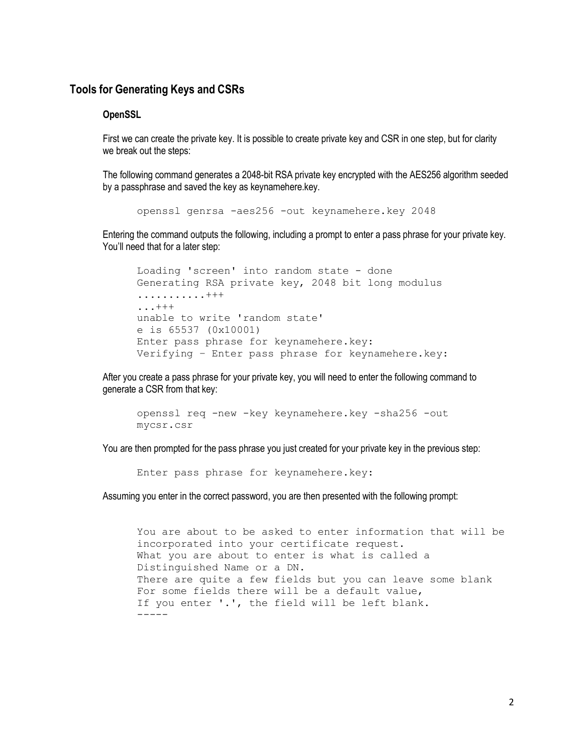#### Tools for Generating Keys and CSRs

#### **OpenSSL**

First we can create the private key. It is possible to create private key and CSR in one step, but for clarity we break out the steps:

The following command generates a 2048-bit RSA private key encrypted with the AES256 algorithm seeded by a passphrase and saved the key as keynamehere.key.

openssl genrsa -aes256 -out keynamehere.key 2048

Entering the command outputs the following, including a prompt to enter a pass phrase for your private key. You'll need that for a later step:

```
Loading 'screen' into random state - done 
Generating RSA private key, 2048 bit long modulus 
...........+++ 
...+++ 
unable to write 'random state' 
e is 65537 (0x10001) 
Enter pass phrase for keynamehere.key: 
Verifying – Enter pass phrase for keynamehere.key:
```
After you create a pass phrase for your private key, you will need to enter the following command to generate a CSR from that key:

```
openssl req -new -key keynamehere.key -sha256 -out 
mycsr.csr
```
You are then prompted for the pass phrase you just created for your private key in the previous step:

Enter pass phrase for keynamehere.key:

Assuming you enter in the correct password, you are then presented with the following prompt:

You are about to be asked to enter information that will be incorporated into your certificate request. What you are about to enter is what is called a Distinguished Name or a DN. There are quite a few fields but you can leave some blank For some fields there will be a default value, If you enter '.', the field will be left blank.  $-----$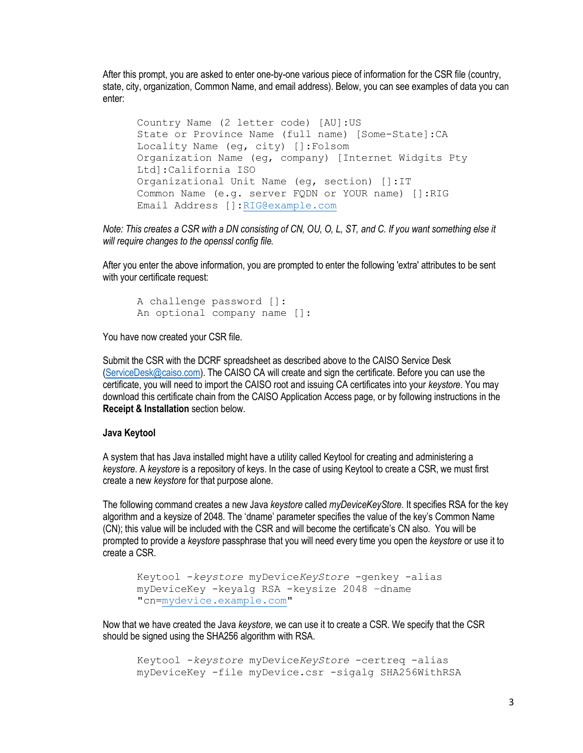After this prompt, you are asked to enter one-by-one various piece of information for the CSR file (country, state, city, organization, Common Name, and email address). Below, you can see examples of data you can enter:

Country Name (2 letter code) [AU]:US State or Province Name (full name) [Some-State]:CA Locality Name (eg, city) []:Folsom Organization Name (eg, company) [Internet Widgits Pty Ltd]:California ISO Organizational Unit Name (eg, section) []:IT Common Name (e.g. server FQDN or YOUR name) []:RIG Email Address []:RIG@example.com

Note: This creates a CSR with a DN consisting of CN, OU, O, L, ST, and C. If you want something else it will require changes to the openssl config file.

After you enter the above information, you are prompted to enter the following 'extra' attributes to be sent with your certificate request:

```
A challenge password []: 
An optional company name []:
```
You have now created your CSR file.

Submit the CSR with the DCRF spreadsheet as described above to the CAISO Service Desk (ServiceDesk@caiso.com). The CAISO CA will create and sign the certificate. Before you can use the certificate, you will need to import the CAISO root and issuing CA certificates into your keystore. You may download this certificate chain from the CAISO Application Access page, or by following instructions in the Receipt & Installation section below.

#### Java Keytool

A system that has Java installed might have a utility called Keytool for creating and administering a keystore. A keystore is a repository of keys. In the case of using Keytool to create a CSR, we must first create a new keystore for that purpose alone.

The following command creates a new Java keystore called *myDeviceKeyStore*. It specifies RSA for the key algorithm and a keysize of 2048. The 'dname' parameter specifies the value of the key's Common Name (CN); this value will be included with the CSR and will become the certificate's CN also. You will be prompted to provide a keystore passphrase that you will need every time you open the keystore or use it to create a CSR.

```
Keytool -keystore myDeviceKeyStore -genkey -alias 
myDeviceKey -keyalg RSA -keysize 2048 –dname 
"cn=mydevice.example.com"
```
Now that we have created the Java keystore, we can use it to create a CSR. We specify that the CSR should be signed using the SHA256 algorithm with RSA.

```
Keytool -keystore myDeviceKeyStore -certreq -alias 
myDeviceKey -file myDevice.csr -sigalg SHA256WithRSA
```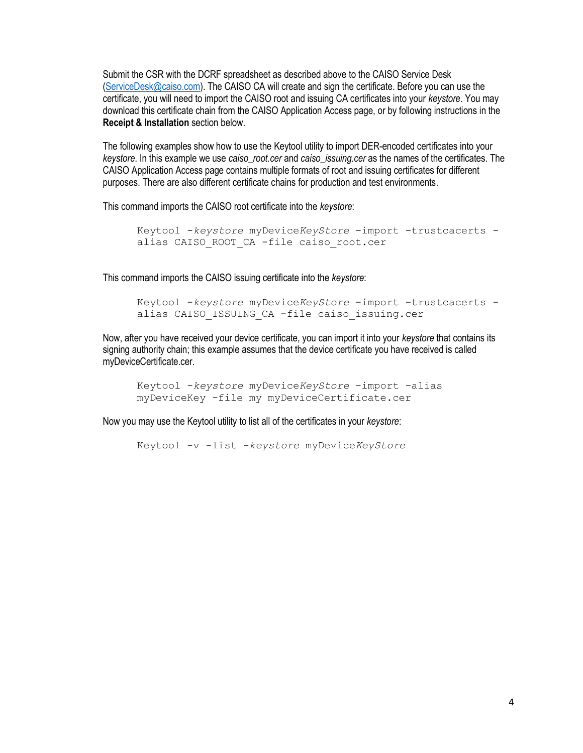Submit the CSR with the DCRF spreadsheet as described above to the CAISO Service Desk (ServiceDesk@caiso.com). The CAISO CA will create and sign the certificate. Before you can use the certificate, you will need to import the CAISO root and issuing CA certificates into your keystore. You may download this certificate chain from the CAISO Application Access page, or by following instructions in the Receipt & Installation section below.

The following examples show how to use the Keytool utility to import DER-encoded certificates into your keystore. In this example we use caiso\_root.cer and caiso\_issuing.cer as the names of the certificates. The CAISO Application Access page contains multiple formats of root and issuing certificates for different purposes. There are also different certificate chains for production and test environments.

This command imports the CAISO root certificate into the keystore:

```
Keytool -keystore myDeviceKeyStore -import -trustcacerts -
alias CAISO ROOT CA -file caiso root.cer
```
This command imports the CAISO issuing certificate into the keystore:

```
Keytool -keystore myDeviceKeyStore -import -trustcacerts -
alias CAISO ISSUING CA -file caiso issuing.cer
```
Now, after you have received your device certificate, you can import it into your keystore that contains its signing authority chain; this example assumes that the device certificate you have received is called myDeviceCertificate.cer.

Keytool -keystore myDeviceKeyStore -import -alias myDeviceKey -file my myDeviceCertificate.cer

Now you may use the Keytool utility to list all of the certificates in your keystore:

Keytool -v -list -keystore myDeviceKeyStore